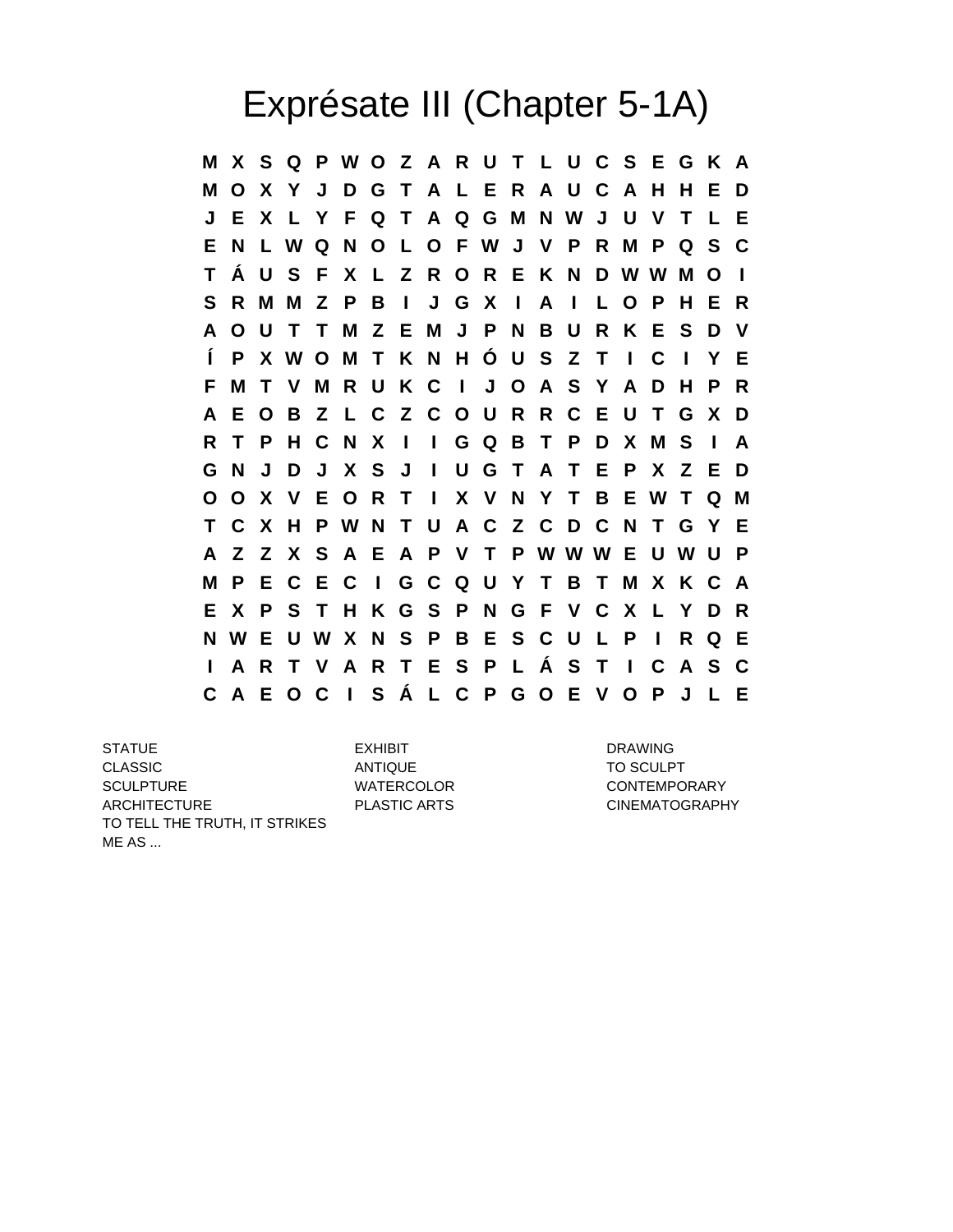## Exprésate III (Chapter 5-1A)

**M X S Q P W O Z A R U T L U C S E G K A M O X Y J D G T A L E R A U C A H H E D J E X L Y F Q T A Q G M N W J U V T L E E N L W Q N O L O F W J V P R M P Q S C T Á U S F X L Z R O R E K N D W W M O I S R M M Z P B I J G X I A I L O P H E R A O U T T M Z E M J P N B U R K E S D V Í P X W O M T K N H Ó U S Z T I C I Y E F M T V M R U K C I J O A S Y A D H P R A E O B Z L C Z C O U R R C E U T G X D R T P H C N X I I G Q B T P D X M S I A G N J D J X S J I U G T A T E P X Z E D O O X V E O R T I X V N Y T B E W T Q M T C X H P W N T U A C Z C D C N T G Y E A Z Z X S A E A P V T P W W W E U W U P M P E C E C I G C Q U Y T B T M X K C A E X P S T H K G S P N G F V C X L Y D R N W E U W X N S P B E S C U L P I R Q E I A R T V A R T E S P L Á S T I C A S C C A E O C I S Á L C P G O E V O P J L E**

STATUE EXHIBIT DRAWING CLASSIC ANTIQUE ANTIQUE TO SCULPT SCULPTURE WATERCOLOR CONTEMPORARY ARCHITECTURE PLASTIC ARTS CINEMATOGRAPHY TO TELL THE TRUTH, IT STRIKES ME AS ...